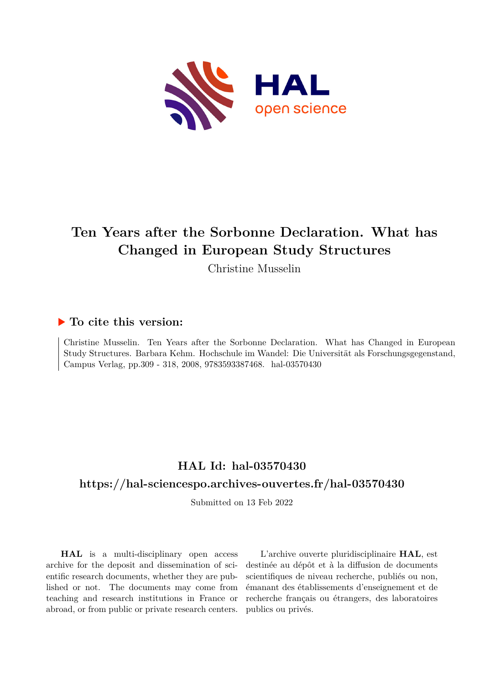

# **Ten Years after the Sorbonne Declaration. What has Changed in European Study Structures**

Christine Musselin

## **To cite this version:**

Christine Musselin. Ten Years after the Sorbonne Declaration. What has Changed in European Study Structures. Barbara Kehm. Hochschule im Wandel: Die Universität als Forschungsgegenstand, Campus Verlag, pp.309 - 318, 2008, 9783593387468. hal-03570430

## **HAL Id: hal-03570430**

### **<https://hal-sciencespo.archives-ouvertes.fr/hal-03570430>**

Submitted on 13 Feb 2022

**HAL** is a multi-disciplinary open access archive for the deposit and dissemination of scientific research documents, whether they are published or not. The documents may come from teaching and research institutions in France or abroad, or from public or private research centers.

L'archive ouverte pluridisciplinaire **HAL**, est destinée au dépôt et à la diffusion de documents scientifiques de niveau recherche, publiés ou non, émanant des établissements d'enseignement et de recherche français ou étrangers, des laboratoires publics ou privés.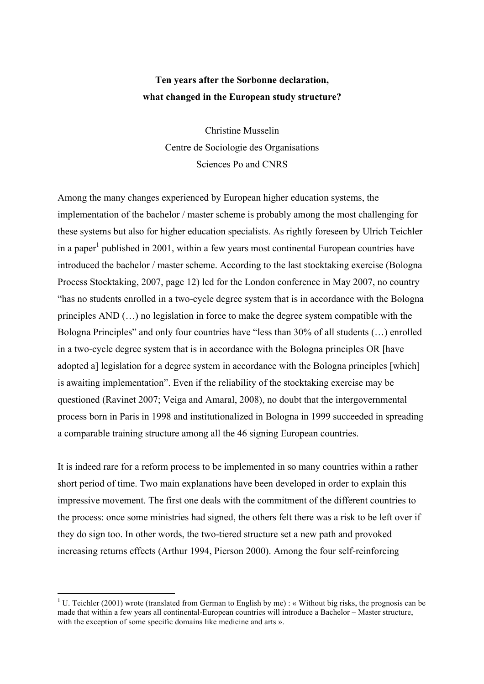## **Ten years after the Sorbonne declaration, what changed in the European study structure?**

Christine Musselin Centre de Sociologie des Organisations Sciences Po and CNRS

Among the many changes experienced by European higher education systems, the implementation of the bachelor / master scheme is probably among the most challenging for these systems but also for higher education specialists. As rightly foreseen by Ulrich Teichler in a paper<sup>1</sup> published in 2001, within a few years most continental European countries have introduced the bachelor / master scheme. According to the last stocktaking exercise (Bologna Process Stocktaking, 2007, page 12) led for the London conference in May 2007, no country "has no students enrolled in a two-cycle degree system that is in accordance with the Bologna principles AND (…) no legislation in force to make the degree system compatible with the Bologna Principles" and only four countries have "less than 30% of all students (…) enrolled in a two-cycle degree system that is in accordance with the Bologna principles OR [have adopted a] legislation for a degree system in accordance with the Bologna principles [which] is awaiting implementation". Even if the reliability of the stocktaking exercise may be questioned (Ravinet 2007; Veiga and Amaral, 2008), no doubt that the intergovernmental process born in Paris in 1998 and institutionalized in Bologna in 1999 succeeded in spreading a comparable training structure among all the 46 signing European countries.

It is indeed rare for a reform process to be implemented in so many countries within a rather short period of time. Two main explanations have been developed in order to explain this impressive movement. The first one deals with the commitment of the different countries to the process: once some ministries had signed, the others felt there was a risk to be left over if they do sign too. In other words, the two-tiered structure set a new path and provoked increasing returns effects (Arthur 1994, Pierson 2000). Among the four self-reinforcing

<sup>&</sup>lt;sup>1</sup> U. Teichler (2001) wrote (translated from German to English by me) : « Without big risks, the prognosis can be made that within a few years all continental-European countries will introduce a Bachelor – Master structure, with the exception of some specific domains like medicine and arts ».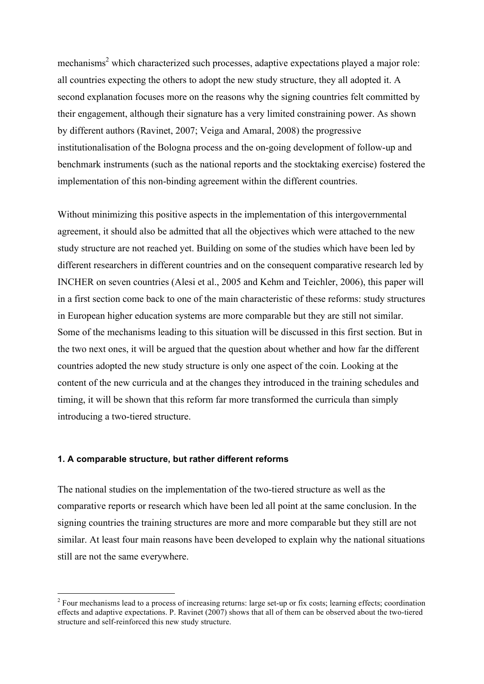mechanisms<sup>2</sup> which characterized such processes, adaptive expectations played a major role: all countries expecting the others to adopt the new study structure, they all adopted it. A second explanation focuses more on the reasons why the signing countries felt committed by their engagement, although their signature has a very limited constraining power. As shown by different authors (Ravinet, 2007; Veiga and Amaral, 2008) the progressive institutionalisation of the Bologna process and the on-going development of follow-up and benchmark instruments (such as the national reports and the stocktaking exercise) fostered the implementation of this non-binding agreement within the different countries.

Without minimizing this positive aspects in the implementation of this intergovernmental agreement, it should also be admitted that all the objectives which were attached to the new study structure are not reached yet. Building on some of the studies which have been led by different researchers in different countries and on the consequent comparative research led by INCHER on seven countries (Alesi et al., 2005 and Kehm and Teichler, 2006), this paper will in a first section come back to one of the main characteristic of these reforms: study structures in European higher education systems are more comparable but they are still not similar. Some of the mechanisms leading to this situation will be discussed in this first section. But in the two next ones, it will be argued that the question about whether and how far the different countries adopted the new study structure is only one aspect of the coin. Looking at the content of the new curricula and at the changes they introduced in the training schedules and timing, it will be shown that this reform far more transformed the curricula than simply introducing a two-tiered structure.

#### **1. A comparable structure, but rather different reforms**

The national studies on the implementation of the two-tiered structure as well as the comparative reports or research which have been led all point at the same conclusion. In the signing countries the training structures are more and more comparable but they still are not similar. At least four main reasons have been developed to explain why the national situations still are not the same everywhere.

<sup>&</sup>lt;sup>2</sup> Four mechanisms lead to a process of increasing returns: large set-up or fix costs; learning effects; coordination effects and adaptive expectations. P. Ravinet (2007) shows that all of them can be observed about the two-tiered structure and self-reinforced this new study structure.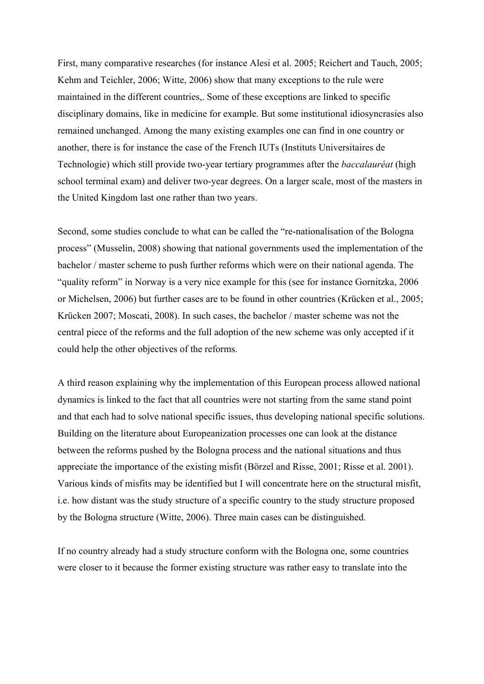First, many comparative researches (for instance Alesi et al. 2005; Reichert and Tauch, 2005; Kehm and Teichler, 2006; Witte, 2006) show that many exceptions to the rule were maintained in the different countries,. Some of these exceptions are linked to specific disciplinary domains, like in medicine for example. But some institutional idiosyncrasies also remained unchanged. Among the many existing examples one can find in one country or another, there is for instance the case of the French IUTs (Instituts Universitaires de Technologie) which still provide two-year tertiary programmes after the *baccalauréat* (high school terminal exam) and deliver two-year degrees. On a larger scale, most of the masters in the United Kingdom last one rather than two years.

Second, some studies conclude to what can be called the "re-nationalisation of the Bologna process" (Musselin, 2008) showing that national governments used the implementation of the bachelor / master scheme to push further reforms which were on their national agenda. The "quality reform" in Norway is a very nice example for this (see for instance Gornitzka, 2006 or Michelsen, 2006) but further cases are to be found in other countries (Krücken et al., 2005; Krücken 2007; Moscati, 2008). In such cases, the bachelor / master scheme was not the central piece of the reforms and the full adoption of the new scheme was only accepted if it could help the other objectives of the reforms.

A third reason explaining why the implementation of this European process allowed national dynamics is linked to the fact that all countries were not starting from the same stand point and that each had to solve national specific issues, thus developing national specific solutions. Building on the literature about Europeanization processes one can look at the distance between the reforms pushed by the Bologna process and the national situations and thus appreciate the importance of the existing misfit (Börzel and Risse, 2001; Risse et al. 2001). Various kinds of misfits may be identified but I will concentrate here on the structural misfit, i.e. how distant was the study structure of a specific country to the study structure proposed by the Bologna structure (Witte, 2006). Three main cases can be distinguished.

If no country already had a study structure conform with the Bologna one, some countries were closer to it because the former existing structure was rather easy to translate into the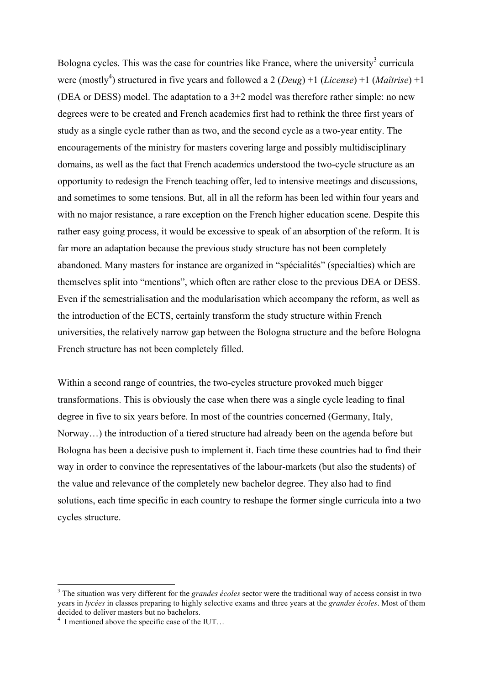Bologna cycles. This was the case for countries like France, where the university<sup>3</sup> curricula were (mostly<sup>4</sup>) structured in five years and followed a 2 (*Deug*) +1 (*License*) +1 (*Maîtrise*) +1 (DEA or DESS) model. The adaptation to a 3+2 model was therefore rather simple: no new degrees were to be created and French academics first had to rethink the three first years of study as a single cycle rather than as two, and the second cycle as a two-year entity. The encouragements of the ministry for masters covering large and possibly multidisciplinary domains, as well as the fact that French academics understood the two-cycle structure as an opportunity to redesign the French teaching offer, led to intensive meetings and discussions, and sometimes to some tensions. But, all in all the reform has been led within four years and with no major resistance, a rare exception on the French higher education scene. Despite this rather easy going process, it would be excessive to speak of an absorption of the reform. It is far more an adaptation because the previous study structure has not been completely abandoned. Many masters for instance are organized in "spécialités" (specialties) which are themselves split into "mentions", which often are rather close to the previous DEA or DESS. Even if the semestrialisation and the modularisation which accompany the reform, as well as the introduction of the ECTS, certainly transform the study structure within French universities, the relatively narrow gap between the Bologna structure and the before Bologna French structure has not been completely filled.

Within a second range of countries, the two-cycles structure provoked much bigger transformations. This is obviously the case when there was a single cycle leading to final degree in five to six years before. In most of the countries concerned (Germany, Italy, Norway…) the introduction of a tiered structure had already been on the agenda before but Bologna has been a decisive push to implement it. Each time these countries had to find their way in order to convince the representatives of the labour-markets (but also the students) of the value and relevance of the completely new bachelor degree. They also had to find solutions, each time specific in each country to reshape the former single curricula into a two cycles structure.

 <sup>3</sup> The situation was very different for the *grandes écoles* sector were the traditional way of access consist in two years in *lycées* in classes preparing to highly selective exams and three years at the *grandes écoles*. Most of them decided to deliver masters but no bachelors.

 $4\,$  I mentioned above the specific case of the IUT...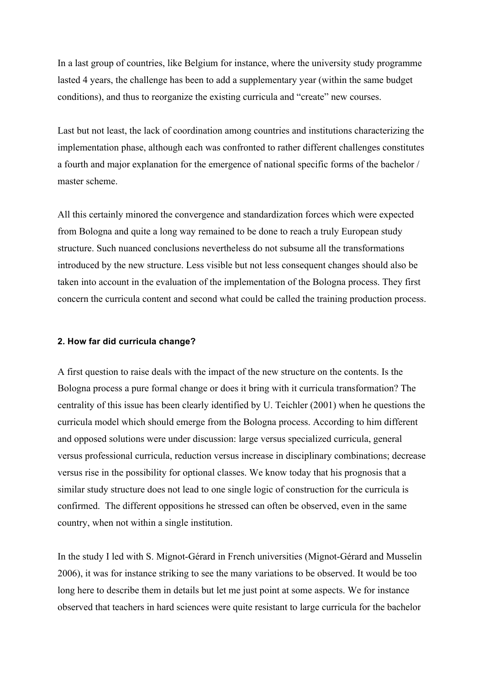In a last group of countries, like Belgium for instance, where the university study programme lasted 4 years, the challenge has been to add a supplementary year (within the same budget conditions), and thus to reorganize the existing curricula and "create" new courses.

Last but not least, the lack of coordination among countries and institutions characterizing the implementation phase, although each was confronted to rather different challenges constitutes a fourth and major explanation for the emergence of national specific forms of the bachelor / master scheme.

All this certainly minored the convergence and standardization forces which were expected from Bologna and quite a long way remained to be done to reach a truly European study structure. Such nuanced conclusions nevertheless do not subsume all the transformations introduced by the new structure. Less visible but not less consequent changes should also be taken into account in the evaluation of the implementation of the Bologna process. They first concern the curricula content and second what could be called the training production process.

#### **2. How far did curricula change?**

A first question to raise deals with the impact of the new structure on the contents. Is the Bologna process a pure formal change or does it bring with it curricula transformation? The centrality of this issue has been clearly identified by U. Teichler (2001) when he questions the curricula model which should emerge from the Bologna process. According to him different and opposed solutions were under discussion: large versus specialized curricula, general versus professional curricula, reduction versus increase in disciplinary combinations; decrease versus rise in the possibility for optional classes. We know today that his prognosis that a similar study structure does not lead to one single logic of construction for the curricula is confirmed. The different oppositions he stressed can often be observed, even in the same country, when not within a single institution.

In the study I led with S. Mignot-Gérard in French universities (Mignot-Gérard and Musselin 2006), it was for instance striking to see the many variations to be observed. It would be too long here to describe them in details but let me just point at some aspects. We for instance observed that teachers in hard sciences were quite resistant to large curricula for the bachelor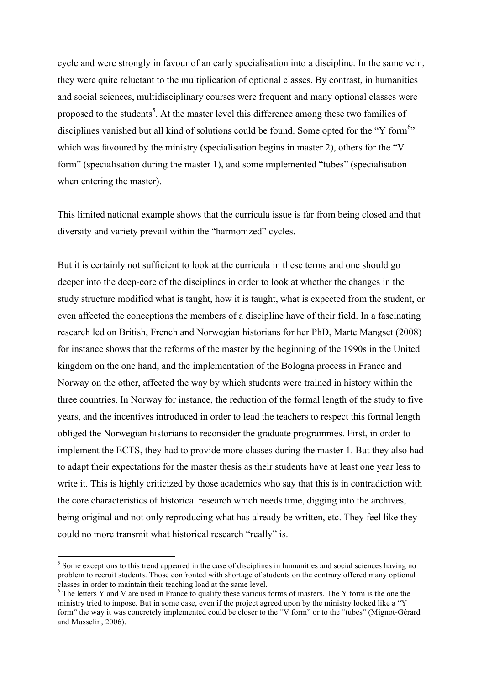cycle and were strongly in favour of an early specialisation into a discipline. In the same vein, they were quite reluctant to the multiplication of optional classes. By contrast, in humanities and social sciences, multidisciplinary courses were frequent and many optional classes were proposed to the students<sup>5</sup>. At the master level this difference among these two families of disciplines vanished but all kind of solutions could be found. Some opted for the "Y form<sup>6</sup>" which was favoured by the ministry (specialisation begins in master 2), others for the "V form" (specialisation during the master 1), and some implemented "tubes" (specialisation when entering the master).

This limited national example shows that the curricula issue is far from being closed and that diversity and variety prevail within the "harmonized" cycles.

But it is certainly not sufficient to look at the curricula in these terms and one should go deeper into the deep-core of the disciplines in order to look at whether the changes in the study structure modified what is taught, how it is taught, what is expected from the student, or even affected the conceptions the members of a discipline have of their field. In a fascinating research led on British, French and Norwegian historians for her PhD, Marte Mangset (2008) for instance shows that the reforms of the master by the beginning of the 1990s in the United kingdom on the one hand, and the implementation of the Bologna process in France and Norway on the other, affected the way by which students were trained in history within the three countries. In Norway for instance, the reduction of the formal length of the study to five years, and the incentives introduced in order to lead the teachers to respect this formal length obliged the Norwegian historians to reconsider the graduate programmes. First, in order to implement the ECTS, they had to provide more classes during the master 1. But they also had to adapt their expectations for the master thesis as their students have at least one year less to write it. This is highly criticized by those academics who say that this is in contradiction with the core characteristics of historical research which needs time, digging into the archives, being original and not only reproducing what has already be written, etc. They feel like they could no more transmit what historical research "really" is.

 $<sup>5</sup>$  Some exceptions to this trend appeared in the case of disciplines in humanities and social sciences having no</sup> problem to recruit students. Those confronted with shortage of students on the contrary offered many optional classes in order to maintain their teaching load at the same level.

<sup>&</sup>lt;sup>6</sup> The letters Y and V are used in France to qualify these various forms of masters. The Y form is the one the ministry tried to impose. But in some case, even if the project agreed upon by the ministry looked like a "Y form" the way it was concretely implemented could be closer to the "V form" or to the "tubes" (Mignot-Gérard and Musselin, 2006).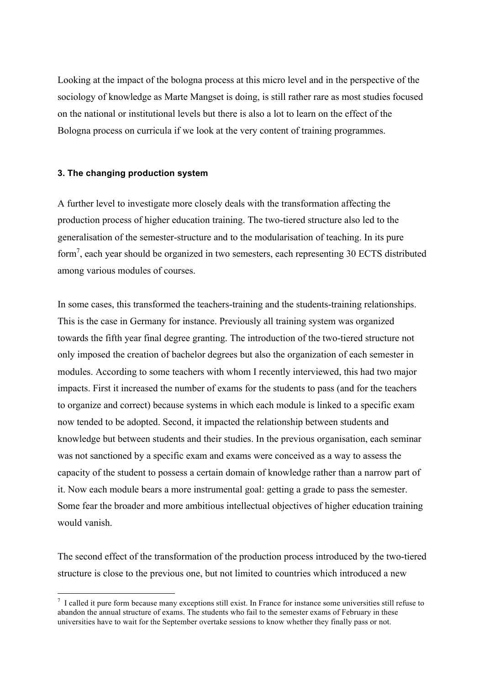Looking at the impact of the bologna process at this micro level and in the perspective of the sociology of knowledge as Marte Mangset is doing, is still rather rare as most studies focused on the national or institutional levels but there is also a lot to learn on the effect of the Bologna process on curricula if we look at the very content of training programmes.

#### **3. The changing production system**

A further level to investigate more closely deals with the transformation affecting the production process of higher education training. The two-tiered structure also led to the generalisation of the semester-structure and to the modularisation of teaching. In its pure form<sup>7</sup>, each year should be organized in two semesters, each representing 30 ECTS distributed among various modules of courses.

In some cases, this transformed the teachers-training and the students-training relationships. This is the case in Germany for instance. Previously all training system was organized towards the fifth year final degree granting. The introduction of the two-tiered structure not only imposed the creation of bachelor degrees but also the organization of each semester in modules. According to some teachers with whom I recently interviewed, this had two major impacts. First it increased the number of exams for the students to pass (and for the teachers to organize and correct) because systems in which each module is linked to a specific exam now tended to be adopted. Second, it impacted the relationship between students and knowledge but between students and their studies. In the previous organisation, each seminar was not sanctioned by a specific exam and exams were conceived as a way to assess the capacity of the student to possess a certain domain of knowledge rather than a narrow part of it. Now each module bears a more instrumental goal: getting a grade to pass the semester. Some fear the broader and more ambitious intellectual objectives of higher education training would vanish.

The second effect of the transformation of the production process introduced by the two-tiered structure is close to the previous one, but not limited to countries which introduced a new

 <sup>7</sup>  $\frac{7}{1}$  I called it pure form because many exceptions still exist. In France for instance some universities still refuse to abandon the annual structure of exams. The students who fail to the semester exams of February in these universities have to wait for the September overtake sessions to know whether they finally pass or not.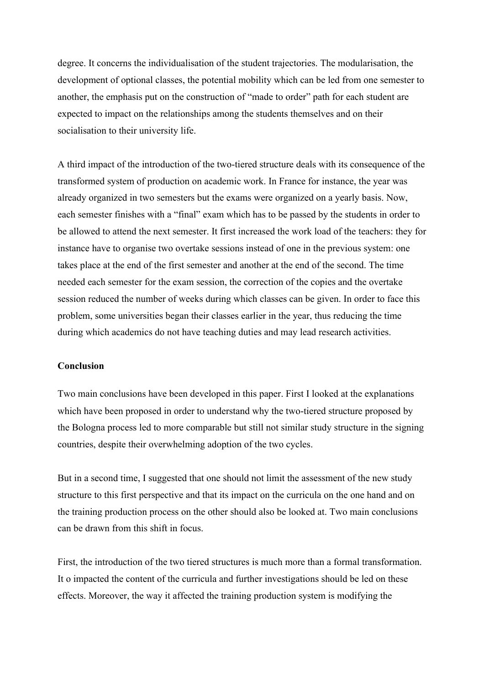degree. It concerns the individualisation of the student trajectories. The modularisation, the development of optional classes, the potential mobility which can be led from one semester to another, the emphasis put on the construction of "made to order" path for each student are expected to impact on the relationships among the students themselves and on their socialisation to their university life.

A third impact of the introduction of the two-tiered structure deals with its consequence of the transformed system of production on academic work. In France for instance, the year was already organized in two semesters but the exams were organized on a yearly basis. Now, each semester finishes with a "final" exam which has to be passed by the students in order to be allowed to attend the next semester. It first increased the work load of the teachers: they for instance have to organise two overtake sessions instead of one in the previous system: one takes place at the end of the first semester and another at the end of the second. The time needed each semester for the exam session, the correction of the copies and the overtake session reduced the number of weeks during which classes can be given. In order to face this problem, some universities began their classes earlier in the year, thus reducing the time during which academics do not have teaching duties and may lead research activities.

#### **Conclusion**

Two main conclusions have been developed in this paper. First I looked at the explanations which have been proposed in order to understand why the two-tiered structure proposed by the Bologna process led to more comparable but still not similar study structure in the signing countries, despite their overwhelming adoption of the two cycles.

But in a second time, I suggested that one should not limit the assessment of the new study structure to this first perspective and that its impact on the curricula on the one hand and on the training production process on the other should also be looked at. Two main conclusions can be drawn from this shift in focus.

First, the introduction of the two tiered structures is much more than a formal transformation. It o impacted the content of the curricula and further investigations should be led on these effects. Moreover, the way it affected the training production system is modifying the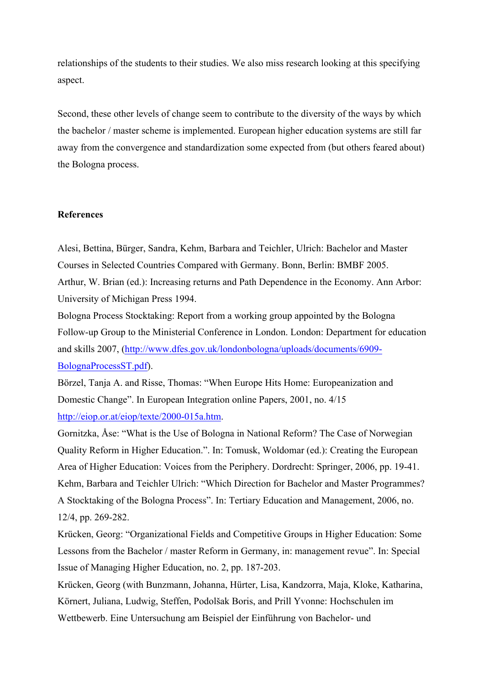relationships of the students to their studies. We also miss research looking at this specifying aspect.

Second, these other levels of change seem to contribute to the diversity of the ways by which the bachelor / master scheme is implemented. European higher education systems are still far away from the convergence and standardization some expected from (but others feared about) the Bologna process.

#### **References**

Alesi, Bettina, Bürger, Sandra, Kehm, Barbara and Teichler, Ulrich: Bachelor and Master Courses in Selected Countries Compared with Germany. Bonn, Berlin: BMBF 2005. Arthur, W. Brian (ed.): Increasing returns and Path Dependence in the Economy. Ann Arbor: University of Michigan Press 1994.

Bologna Process Stocktaking: Report from a working group appointed by the Bologna Follow-up Group to the Ministerial Conference in London. London: Department for education and skills 2007, (http://www.dfes.gov.uk/londonbologna/uploads/documents/6909- BolognaProcessST.pdf).

Börzel, Tanja A. and Risse, Thomas: "When Europe Hits Home: Europeanization and Domestic Change". In European Integration online Papers, 2001, no. 4/15 http://eiop.or.at/eiop/texte/2000-015a.htm.

Gornitzka, Åse: "What is the Use of Bologna in National Reform? The Case of Norwegian Quality Reform in Higher Education.". In: Tomusk, Woldomar (ed.): Creating the European Area of Higher Education: Voices from the Periphery. Dordrecht: Springer, 2006, pp. 19-41. Kehm, Barbara and Teichler Ulrich: "Which Direction for Bachelor and Master Programmes? A Stocktaking of the Bologna Process". In: Tertiary Education and Management, 2006, no. 12/4, pp. 269-282.

Krücken, Georg: "Organizational Fields and Competitive Groups in Higher Education: Some Lessons from the Bachelor / master Reform in Germany, in: management revue". In: Special Issue of Managing Higher Education, no. 2, pp. 187-203.

Krücken, Georg (with Bunzmann, Johanna, Hürter, Lisa, Kandzorra, Maja, Kloke, Katharina, Körnert, Juliana, Ludwig, Steffen, Podolšak Boris, and Prill Yvonne: Hochschulen im Wettbewerb. Eine Untersuchung am Beispiel der Einführung von Bachelor- und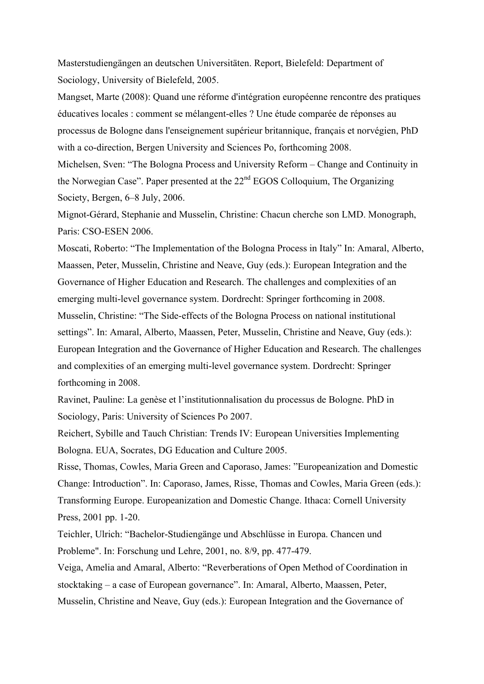Masterstudiengängen an deutschen Universitäten. Report, Bielefeld: Department of Sociology, University of Bielefeld, 2005.

Mangset, Marte (2008): Quand une réforme d'intégration européenne rencontre des pratiques éducatives locales : comment se mélangent-elles ? Une étude comparée de réponses au processus de Bologne dans l'enseignement supérieur britannique, français et norvégien, PhD with a co-direction, Bergen University and Sciences Po, forthcoming 2008.

Michelsen, Sven: "The Bologna Process and University Reform – Change and Continuity in the Norwegian Case". Paper presented at the 22<sup>nd</sup> EGOS Colloquium, The Organizing Society, Bergen, 6–8 July, 2006.

Mignot-Gérard, Stephanie and Musselin, Christine: Chacun cherche son LMD. Monograph, Paris: CSO-ESEN 2006.

Moscati, Roberto: "The Implementation of the Bologna Process in Italy" In: Amaral, Alberto, Maassen, Peter, Musselin, Christine and Neave, Guy (eds.): European Integration and the Governance of Higher Education and Research. The challenges and complexities of an emerging multi-level governance system. Dordrecht: Springer forthcoming in 2008. Musselin, Christine: "The Side-effects of the Bologna Process on national institutional settings". In: Amaral, Alberto, Maassen, Peter, Musselin, Christine and Neave, Guy (eds.): European Integration and the Governance of Higher Education and Research. The challenges and complexities of an emerging multi-level governance system. Dordrecht: Springer forthcoming in 2008.

Ravinet, Pauline: La genèse et l'institutionnalisation du processus de Bologne. PhD in Sociology, Paris: University of Sciences Po 2007.

Reichert, Sybille and Tauch Christian: Trends IV: European Universities Implementing Bologna. EUA, Socrates, DG Education and Culture 2005.

Risse, Thomas, Cowles, Maria Green and Caporaso, James: "Europeanization and Domestic Change: Introduction". In: Caporaso, James, Risse, Thomas and Cowles, Maria Green (eds.): Transforming Europe. Europeanization and Domestic Change. Ithaca: Cornell University Press, 2001 pp. 1-20.

Teichler, Ulrich: "Bachelor-Studiengänge und Abschlüsse in Europa. Chancen und Probleme". In: Forschung und Lehre, 2001, no. 8/9, pp. 477-479.

Veiga, Amelia and Amaral, Alberto: "Reverberations of Open Method of Coordination in stocktaking – a case of European governance". In: Amaral, Alberto, Maassen, Peter, Musselin, Christine and Neave, Guy (eds.): European Integration and the Governance of